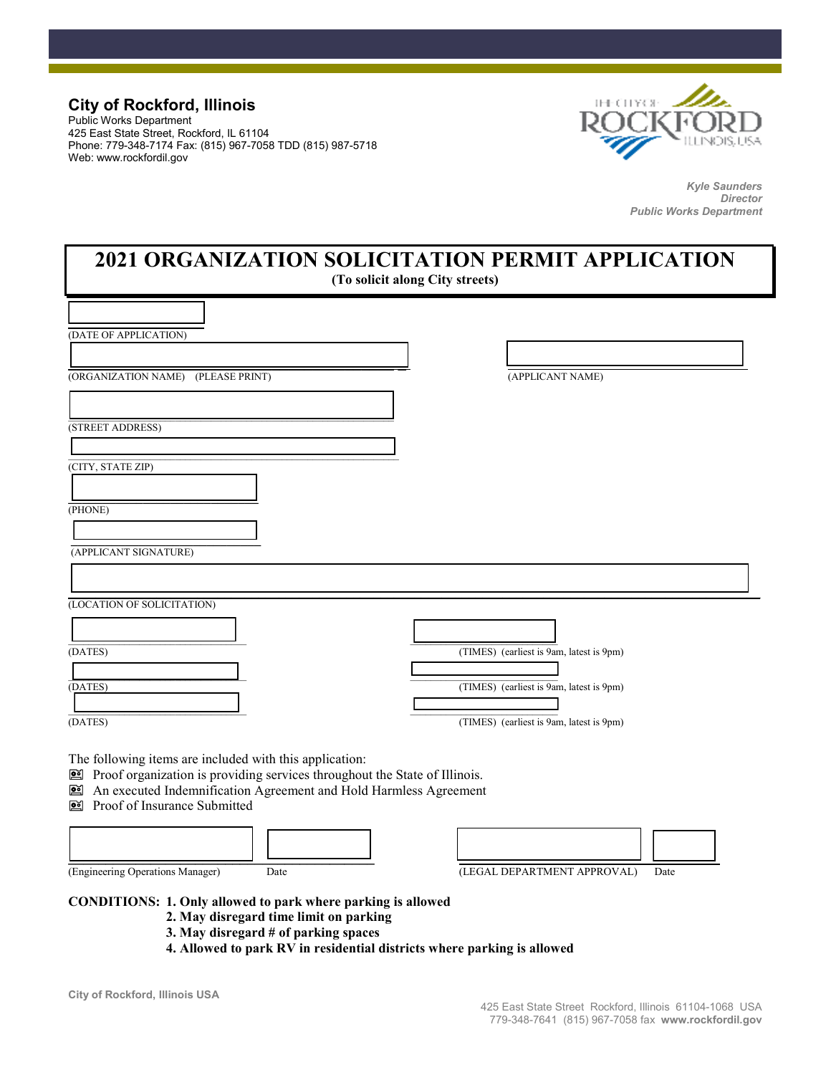## **City of Rockford, Illinois**

Public Works Department 425 East State Street, Rockford, IL 61104 Phone: 779-348-7174 Fax: (815) 967-7058 TDD (815) 987-5718 Web: www.rockfordil.gov



*Kyle Saunders Director Public Works Department* 

## **2021 ORGANIZATION SOLICITATION PERMIT APPLICATION**

**(To solicit along City streets)** 

| (DATE OF APPLICATION)                                                                                                                                                                                                                      |                                          |
|--------------------------------------------------------------------------------------------------------------------------------------------------------------------------------------------------------------------------------------------|------------------------------------------|
|                                                                                                                                                                                                                                            |                                          |
| (ORGANIZATION NAME) (PLEASE PRINT)                                                                                                                                                                                                         | (APPLICANT NAME)                         |
|                                                                                                                                                                                                                                            |                                          |
| (STREET ADDRESS)                                                                                                                                                                                                                           |                                          |
|                                                                                                                                                                                                                                            |                                          |
| (CITY, STATE ZIP)                                                                                                                                                                                                                          |                                          |
| $(\overline{PHONE})$                                                                                                                                                                                                                       |                                          |
| (APPLICANT SIGNATURE)                                                                                                                                                                                                                      |                                          |
|                                                                                                                                                                                                                                            |                                          |
| (LOCATION OF SOLICITATION)                                                                                                                                                                                                                 |                                          |
|                                                                                                                                                                                                                                            |                                          |
| (DATES)                                                                                                                                                                                                                                    | (TIMES) (earliest is 9am, latest is 9pm) |
|                                                                                                                                                                                                                                            |                                          |
| (DATES)                                                                                                                                                                                                                                    | (TIMES) (earliest is 9am, latest is 9pm) |
| (DATES)                                                                                                                                                                                                                                    | (TIMES) (earliest is 9am, latest is 9pm) |
| The following items are included with this application:<br>Proof organization is providing services throughout the State of Illinois.<br>An executed Indemnification Agreement and Hold Harmless Agreement<br>Proof of Insurance Submitted |                                          |
|                                                                                                                                                                                                                                            |                                          |
| (Engineering Operations Manager)<br>Date                                                                                                                                                                                                   | (LEGAL DEPARTMENT APPROVAL)<br>Date      |

**CONDITIONS: 1. Only allowed to park where parking is allowed** 

- **2. May disregard time limit on parking**
- **3. May disregard # of parking spaces**
- **4. Allowed to park RV in residential districts where parking is allowed**